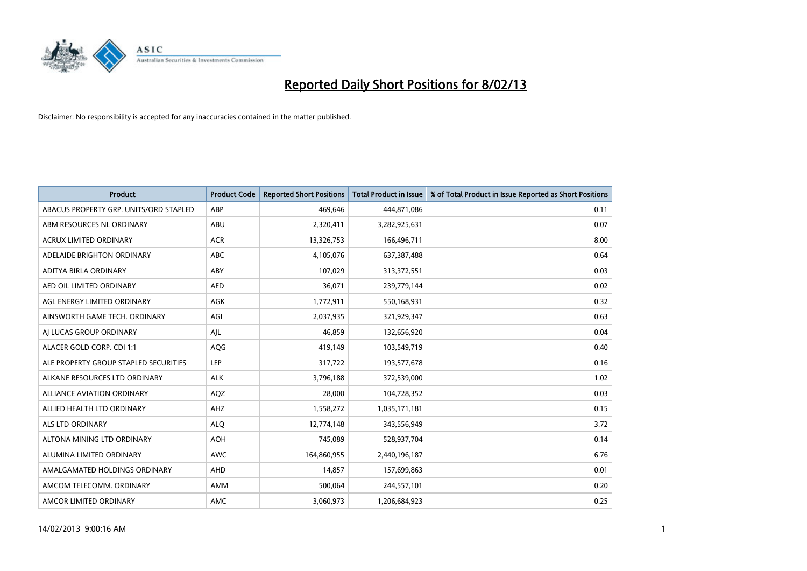

| <b>Product</b>                         | <b>Product Code</b> | <b>Reported Short Positions</b> | <b>Total Product in Issue</b> | % of Total Product in Issue Reported as Short Positions |
|----------------------------------------|---------------------|---------------------------------|-------------------------------|---------------------------------------------------------|
| ABACUS PROPERTY GRP. UNITS/ORD STAPLED | ABP                 | 469,646                         | 444,871,086                   | 0.11                                                    |
| ABM RESOURCES NL ORDINARY              | ABU                 | 2,320,411                       | 3,282,925,631                 | 0.07                                                    |
| <b>ACRUX LIMITED ORDINARY</b>          | <b>ACR</b>          | 13,326,753                      | 166,496,711                   | 8.00                                                    |
| ADELAIDE BRIGHTON ORDINARY             | <b>ABC</b>          | 4,105,076                       | 637,387,488                   | 0.64                                                    |
| <b>ADITYA BIRLA ORDINARY</b>           | ABY                 | 107,029                         | 313,372,551                   | 0.03                                                    |
| AED OIL LIMITED ORDINARY               | <b>AED</b>          | 36,071                          | 239,779,144                   | 0.02                                                    |
| AGL ENERGY LIMITED ORDINARY            | AGK                 | 1,772,911                       | 550,168,931                   | 0.32                                                    |
| AINSWORTH GAME TECH. ORDINARY          | AGI                 | 2,037,935                       | 321,929,347                   | 0.63                                                    |
| AI LUCAS GROUP ORDINARY                | AJL                 | 46,859                          | 132,656,920                   | 0.04                                                    |
| ALACER GOLD CORP. CDI 1:1              | AQG                 | 419,149                         | 103,549,719                   | 0.40                                                    |
| ALE PROPERTY GROUP STAPLED SECURITIES  | <b>LEP</b>          | 317,722                         | 193,577,678                   | 0.16                                                    |
| ALKANE RESOURCES LTD ORDINARY          | <b>ALK</b>          | 3,796,188                       | 372,539,000                   | 1.02                                                    |
| <b>ALLIANCE AVIATION ORDINARY</b>      | AQZ                 | 28,000                          | 104,728,352                   | 0.03                                                    |
| ALLIED HEALTH LTD ORDINARY             | AHZ                 | 1,558,272                       | 1,035,171,181                 | 0.15                                                    |
| <b>ALS LTD ORDINARY</b>                | <b>ALQ</b>          | 12,774,148                      | 343,556,949                   | 3.72                                                    |
| ALTONA MINING LTD ORDINARY             | <b>AOH</b>          | 745,089                         | 528,937,704                   | 0.14                                                    |
| ALUMINA LIMITED ORDINARY               | <b>AWC</b>          | 164,860,955                     | 2,440,196,187                 | 6.76                                                    |
| AMALGAMATED HOLDINGS ORDINARY          | <b>AHD</b>          | 14,857                          | 157,699,863                   | 0.01                                                    |
| AMCOM TELECOMM. ORDINARY               | AMM                 | 500,064                         | 244,557,101                   | 0.20                                                    |
| AMCOR LIMITED ORDINARY                 | AMC                 | 3,060,973                       | 1,206,684,923                 | 0.25                                                    |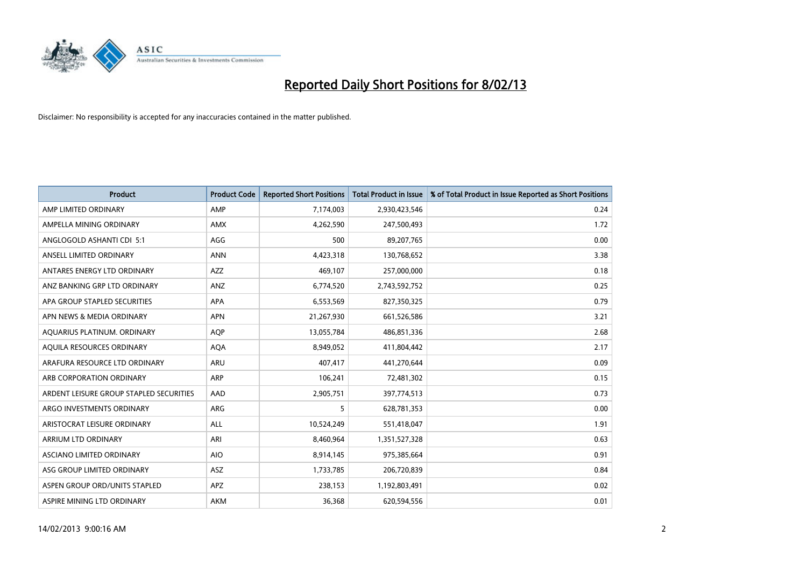

| <b>Product</b>                          | <b>Product Code</b> | <b>Reported Short Positions</b> | <b>Total Product in Issue</b> | % of Total Product in Issue Reported as Short Positions |
|-----------------------------------------|---------------------|---------------------------------|-------------------------------|---------------------------------------------------------|
| AMP LIMITED ORDINARY                    | AMP                 | 7,174,003                       | 2,930,423,546                 | 0.24                                                    |
| AMPELLA MINING ORDINARY                 | <b>AMX</b>          | 4,262,590                       | 247,500,493                   | 1.72                                                    |
| ANGLOGOLD ASHANTI CDI 5:1               | AGG                 | 500                             | 89,207,765                    | 0.00                                                    |
| ANSELL LIMITED ORDINARY                 | <b>ANN</b>          | 4,423,318                       | 130,768,652                   | 3.38                                                    |
| ANTARES ENERGY LTD ORDINARY             | AZZ                 | 469,107                         | 257,000,000                   | 0.18                                                    |
| ANZ BANKING GRP LTD ORDINARY            | ANZ                 | 6,774,520                       | 2,743,592,752                 | 0.25                                                    |
| APA GROUP STAPLED SECURITIES            | <b>APA</b>          | 6,553,569                       | 827,350,325                   | 0.79                                                    |
| APN NEWS & MEDIA ORDINARY               | <b>APN</b>          | 21,267,930                      | 661,526,586                   | 3.21                                                    |
| AQUARIUS PLATINUM. ORDINARY             | <b>AOP</b>          | 13,055,784                      | 486,851,336                   | 2.68                                                    |
| AQUILA RESOURCES ORDINARY               | <b>AQA</b>          | 8,949,052                       | 411,804,442                   | 2.17                                                    |
| ARAFURA RESOURCE LTD ORDINARY           | ARU                 | 407,417                         | 441,270,644                   | 0.09                                                    |
| ARB CORPORATION ORDINARY                | ARP                 | 106,241                         | 72,481,302                    | 0.15                                                    |
| ARDENT LEISURE GROUP STAPLED SECURITIES | AAD                 | 2,905,751                       | 397,774,513                   | 0.73                                                    |
| ARGO INVESTMENTS ORDINARY               | ARG                 | 5                               | 628,781,353                   | 0.00                                                    |
| ARISTOCRAT LEISURE ORDINARY             | <b>ALL</b>          | 10,524,249                      | 551,418,047                   | 1.91                                                    |
| ARRIUM LTD ORDINARY                     | ARI                 | 8,460,964                       | 1,351,527,328                 | 0.63                                                    |
| ASCIANO LIMITED ORDINARY                | <b>AIO</b>          | 8,914,145                       | 975,385,664                   | 0.91                                                    |
| ASG GROUP LIMITED ORDINARY              | <b>ASZ</b>          | 1,733,785                       | 206,720,839                   | 0.84                                                    |
| ASPEN GROUP ORD/UNITS STAPLED           | <b>APZ</b>          | 238,153                         | 1,192,803,491                 | 0.02                                                    |
| ASPIRE MINING LTD ORDINARY              | <b>AKM</b>          | 36,368                          | 620,594,556                   | 0.01                                                    |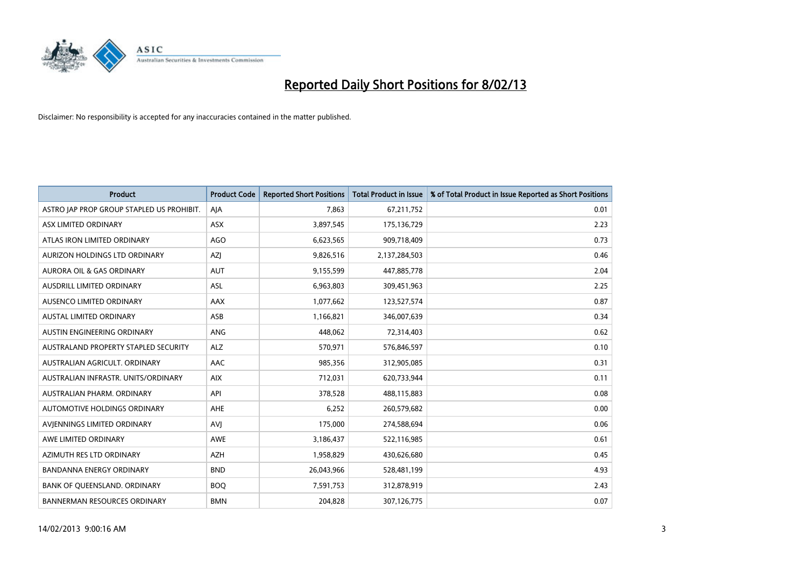

| <b>Product</b>                            | <b>Product Code</b> | <b>Reported Short Positions</b> | <b>Total Product in Issue</b> | % of Total Product in Issue Reported as Short Positions |
|-------------------------------------------|---------------------|---------------------------------|-------------------------------|---------------------------------------------------------|
| ASTRO JAP PROP GROUP STAPLED US PROHIBIT. | AJA                 | 7,863                           | 67,211,752                    | 0.01                                                    |
| ASX LIMITED ORDINARY                      | <b>ASX</b>          | 3,897,545                       | 175,136,729                   | 2.23                                                    |
| ATLAS IRON LIMITED ORDINARY               | AGO                 | 6,623,565                       | 909,718,409                   | 0.73                                                    |
| AURIZON HOLDINGS LTD ORDINARY             | AZJ                 | 9,826,516                       | 2,137,284,503                 | 0.46                                                    |
| <b>AURORA OIL &amp; GAS ORDINARY</b>      | <b>AUT</b>          | 9,155,599                       | 447,885,778                   | 2.04                                                    |
| AUSDRILL LIMITED ORDINARY                 | <b>ASL</b>          | 6,963,803                       | 309,451,963                   | 2.25                                                    |
| AUSENCO LIMITED ORDINARY                  | AAX                 | 1,077,662                       | 123,527,574                   | 0.87                                                    |
| <b>AUSTAL LIMITED ORDINARY</b>            | ASB                 | 1,166,821                       | 346,007,639                   | 0.34                                                    |
| AUSTIN ENGINEERING ORDINARY               | <b>ANG</b>          | 448,062                         | 72,314,403                    | 0.62                                                    |
| AUSTRALAND PROPERTY STAPLED SECURITY      | <b>ALZ</b>          | 570,971                         | 576,846,597                   | 0.10                                                    |
| AUSTRALIAN AGRICULT. ORDINARY             | <b>AAC</b>          | 985,356                         | 312,905,085                   | 0.31                                                    |
| AUSTRALIAN INFRASTR. UNITS/ORDINARY       | <b>AIX</b>          | 712,031                         | 620,733,944                   | 0.11                                                    |
| AUSTRALIAN PHARM. ORDINARY                | API                 | 378,528                         | 488,115,883                   | 0.08                                                    |
| AUTOMOTIVE HOLDINGS ORDINARY              | <b>AHE</b>          | 6,252                           | 260,579,682                   | 0.00                                                    |
| AVIENNINGS LIMITED ORDINARY               | AVI                 | 175,000                         | 274,588,694                   | 0.06                                                    |
| AWE LIMITED ORDINARY                      | <b>AWE</b>          | 3,186,437                       | 522,116,985                   | 0.61                                                    |
| AZIMUTH RES LTD ORDINARY                  | <b>AZH</b>          | 1,958,829                       | 430,626,680                   | 0.45                                                    |
| BANDANNA ENERGY ORDINARY                  | <b>BND</b>          | 26,043,966                      | 528,481,199                   | 4.93                                                    |
| BANK OF QUEENSLAND. ORDINARY              | <b>BOQ</b>          | 7,591,753                       | 312,878,919                   | 2.43                                                    |
| <b>BANNERMAN RESOURCES ORDINARY</b>       | <b>BMN</b>          | 204,828                         | 307,126,775                   | 0.07                                                    |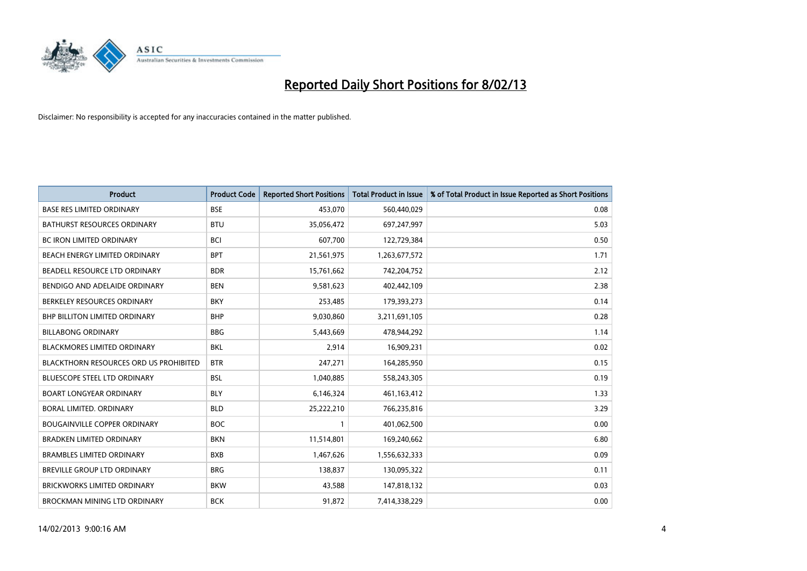

| <b>Product</b>                                | <b>Product Code</b> | <b>Reported Short Positions</b> | <b>Total Product in Issue</b> | % of Total Product in Issue Reported as Short Positions |
|-----------------------------------------------|---------------------|---------------------------------|-------------------------------|---------------------------------------------------------|
| <b>BASE RES LIMITED ORDINARY</b>              | <b>BSE</b>          | 453,070                         | 560,440,029                   | 0.08                                                    |
| <b>BATHURST RESOURCES ORDINARY</b>            | <b>BTU</b>          | 35,056,472                      | 697,247,997                   | 5.03                                                    |
| <b>BC IRON LIMITED ORDINARY</b>               | <b>BCI</b>          | 607,700                         | 122,729,384                   | 0.50                                                    |
| <b>BEACH ENERGY LIMITED ORDINARY</b>          | <b>BPT</b>          | 21,561,975                      | 1,263,677,572                 | 1.71                                                    |
| BEADELL RESOURCE LTD ORDINARY                 | <b>BDR</b>          | 15,761,662                      | 742,204,752                   | 2.12                                                    |
| BENDIGO AND ADELAIDE ORDINARY                 | <b>BEN</b>          | 9,581,623                       | 402,442,109                   | 2.38                                                    |
| BERKELEY RESOURCES ORDINARY                   | <b>BKY</b>          | 253,485                         | 179,393,273                   | 0.14                                                    |
| <b>BHP BILLITON LIMITED ORDINARY</b>          | <b>BHP</b>          | 9,030,860                       | 3,211,691,105                 | 0.28                                                    |
| <b>BILLABONG ORDINARY</b>                     | <b>BBG</b>          | 5,443,669                       | 478,944,292                   | 1.14                                                    |
| <b>BLACKMORES LIMITED ORDINARY</b>            | <b>BKL</b>          | 2,914                           | 16,909,231                    | 0.02                                                    |
| <b>BLACKTHORN RESOURCES ORD US PROHIBITED</b> | <b>BTR</b>          | 247,271                         | 164,285,950                   | 0.15                                                    |
| BLUESCOPE STEEL LTD ORDINARY                  | <b>BSL</b>          | 1,040,885                       | 558,243,305                   | 0.19                                                    |
| <b>BOART LONGYEAR ORDINARY</b>                | <b>BLY</b>          | 6,146,324                       | 461,163,412                   | 1.33                                                    |
| BORAL LIMITED, ORDINARY                       | <b>BLD</b>          | 25,222,210                      | 766,235,816                   | 3.29                                                    |
| <b>BOUGAINVILLE COPPER ORDINARY</b>           | <b>BOC</b>          |                                 | 401,062,500                   | 0.00                                                    |
| <b>BRADKEN LIMITED ORDINARY</b>               | <b>BKN</b>          | 11,514,801                      | 169,240,662                   | 6.80                                                    |
| <b>BRAMBLES LIMITED ORDINARY</b>              | <b>BXB</b>          | 1,467,626                       | 1,556,632,333                 | 0.09                                                    |
| BREVILLE GROUP LTD ORDINARY                   | <b>BRG</b>          | 138,837                         | 130,095,322                   | 0.11                                                    |
| <b>BRICKWORKS LIMITED ORDINARY</b>            | <b>BKW</b>          | 43,588                          | 147,818,132                   | 0.03                                                    |
| BROCKMAN MINING LTD ORDINARY                  | <b>BCK</b>          | 91,872                          | 7,414,338,229                 | 0.00                                                    |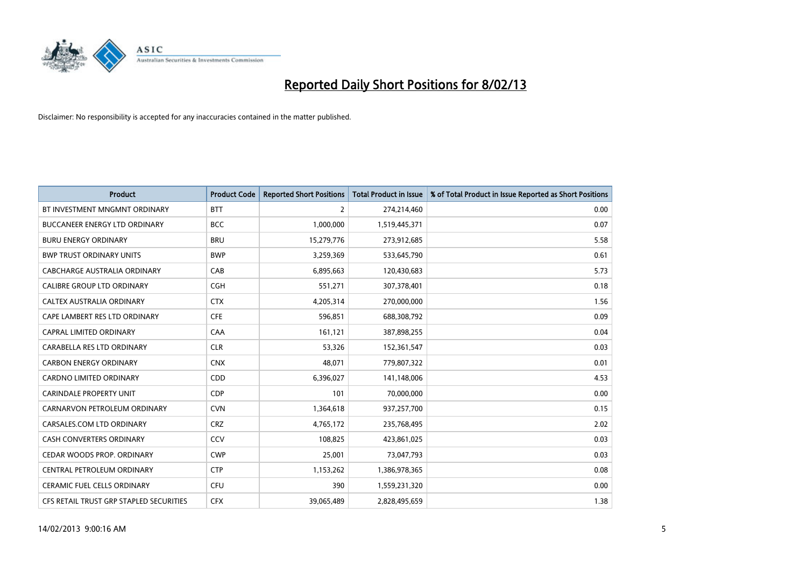

| <b>Product</b>                          | <b>Product Code</b> | <b>Reported Short Positions</b> | <b>Total Product in Issue</b> | % of Total Product in Issue Reported as Short Positions |
|-----------------------------------------|---------------------|---------------------------------|-------------------------------|---------------------------------------------------------|
| BT INVESTMENT MNGMNT ORDINARY           | <b>BTT</b>          | 2                               | 274,214,460                   | 0.00                                                    |
| BUCCANEER ENERGY LTD ORDINARY           | <b>BCC</b>          | 1,000,000                       | 1,519,445,371                 | 0.07                                                    |
| <b>BURU ENERGY ORDINARY</b>             | <b>BRU</b>          | 15,279,776                      | 273,912,685                   | 5.58                                                    |
| <b>BWP TRUST ORDINARY UNITS</b>         | <b>BWP</b>          | 3,259,369                       | 533,645,790                   | 0.61                                                    |
| CABCHARGE AUSTRALIA ORDINARY            | CAB                 | 6,895,663                       | 120,430,683                   | 5.73                                                    |
| <b>CALIBRE GROUP LTD ORDINARY</b>       | CGH                 | 551,271                         | 307,378,401                   | 0.18                                                    |
| CALTEX AUSTRALIA ORDINARY               | <b>CTX</b>          | 4,205,314                       | 270,000,000                   | 1.56                                                    |
| CAPE LAMBERT RES LTD ORDINARY           | <b>CFE</b>          | 596,851                         | 688,308,792                   | 0.09                                                    |
| <b>CAPRAL LIMITED ORDINARY</b>          | CAA                 | 161,121                         | 387,898,255                   | 0.04                                                    |
| CARABELLA RES LTD ORDINARY              | <b>CLR</b>          | 53,326                          | 152,361,547                   | 0.03                                                    |
| <b>CARBON ENERGY ORDINARY</b>           | <b>CNX</b>          | 48,071                          | 779,807,322                   | 0.01                                                    |
| <b>CARDNO LIMITED ORDINARY</b>          | CDD                 | 6,396,027                       | 141,148,006                   | 4.53                                                    |
| <b>CARINDALE PROPERTY UNIT</b>          | <b>CDP</b>          | 101                             | 70,000,000                    | 0.00                                                    |
| CARNARVON PETROLEUM ORDINARY            | <b>CVN</b>          | 1,364,618                       | 937,257,700                   | 0.15                                                    |
| CARSALES.COM LTD ORDINARY               | <b>CRZ</b>          | 4,765,172                       | 235,768,495                   | 2.02                                                    |
| CASH CONVERTERS ORDINARY                | CCV                 | 108,825                         | 423,861,025                   | 0.03                                                    |
| CEDAR WOODS PROP. ORDINARY              | <b>CWP</b>          | 25,001                          | 73,047,793                    | 0.03                                                    |
| CENTRAL PETROLEUM ORDINARY              | <b>CTP</b>          | 1,153,262                       | 1,386,978,365                 | 0.08                                                    |
| CERAMIC FUEL CELLS ORDINARY             | CFU                 | 390                             | 1,559,231,320                 | 0.00                                                    |
| CFS RETAIL TRUST GRP STAPLED SECURITIES | <b>CFX</b>          | 39,065,489                      | 2,828,495,659                 | 1.38                                                    |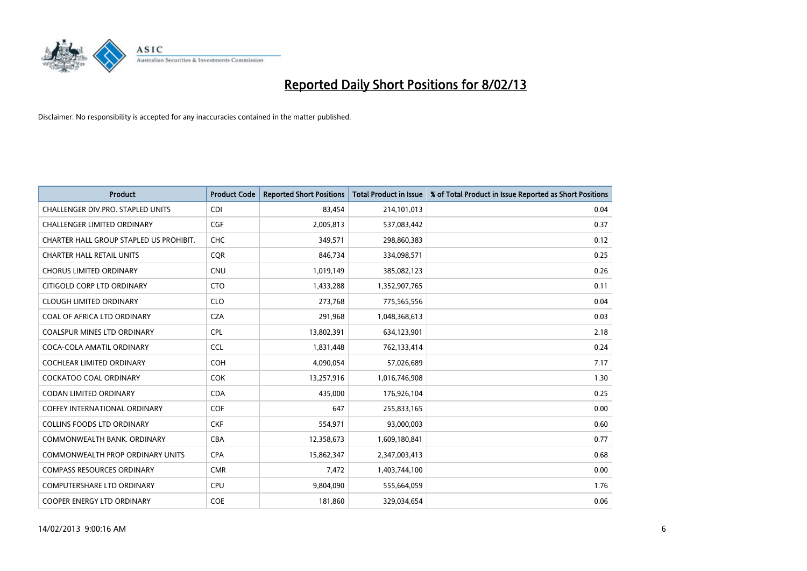

| <b>Product</b>                          | <b>Product Code</b> | <b>Reported Short Positions</b> | <b>Total Product in Issue</b> | % of Total Product in Issue Reported as Short Positions |
|-----------------------------------------|---------------------|---------------------------------|-------------------------------|---------------------------------------------------------|
| CHALLENGER DIV.PRO. STAPLED UNITS       | <b>CDI</b>          | 83,454                          | 214,101,013                   | 0.04                                                    |
| <b>CHALLENGER LIMITED ORDINARY</b>      | <b>CGF</b>          | 2,005,813                       | 537,083,442                   | 0.37                                                    |
| CHARTER HALL GROUP STAPLED US PROHIBIT. | <b>CHC</b>          | 349,571                         | 298,860,383                   | 0.12                                                    |
| <b>CHARTER HALL RETAIL UNITS</b>        | <b>COR</b>          | 846,734                         | 334,098,571                   | 0.25                                                    |
| <b>CHORUS LIMITED ORDINARY</b>          | <b>CNU</b>          | 1,019,149                       | 385,082,123                   | 0.26                                                    |
| CITIGOLD CORP LTD ORDINARY              | <b>CTO</b>          | 1,433,288                       | 1,352,907,765                 | 0.11                                                    |
| <b>CLOUGH LIMITED ORDINARY</b>          | <b>CLO</b>          | 273,768                         | 775,565,556                   | 0.04                                                    |
| COAL OF AFRICA LTD ORDINARY             | <b>CZA</b>          | 291,968                         | 1,048,368,613                 | 0.03                                                    |
| COALSPUR MINES LTD ORDINARY             | <b>CPL</b>          | 13,802,391                      | 634,123,901                   | 2.18                                                    |
| COCA-COLA AMATIL ORDINARY               | <b>CCL</b>          | 1,831,448                       | 762,133,414                   | 0.24                                                    |
| <b>COCHLEAR LIMITED ORDINARY</b>        | <b>COH</b>          | 4,090,054                       | 57,026,689                    | 7.17                                                    |
| <b>COCKATOO COAL ORDINARY</b>           | <b>COK</b>          | 13,257,916                      | 1,016,746,908                 | 1.30                                                    |
| <b>CODAN LIMITED ORDINARY</b>           | <b>CDA</b>          | 435,000                         | 176,926,104                   | 0.25                                                    |
| <b>COFFEY INTERNATIONAL ORDINARY</b>    | <b>COF</b>          | 647                             | 255,833,165                   | 0.00                                                    |
| <b>COLLINS FOODS LTD ORDINARY</b>       | <b>CKF</b>          | 554,971                         | 93,000,003                    | 0.60                                                    |
| COMMONWEALTH BANK, ORDINARY             | <b>CBA</b>          | 12,358,673                      | 1,609,180,841                 | 0.77                                                    |
| <b>COMMONWEALTH PROP ORDINARY UNITS</b> | <b>CPA</b>          | 15,862,347                      | 2,347,003,413                 | 0.68                                                    |
| <b>COMPASS RESOURCES ORDINARY</b>       | <b>CMR</b>          | 7,472                           | 1,403,744,100                 | 0.00                                                    |
| <b>COMPUTERSHARE LTD ORDINARY</b>       | <b>CPU</b>          | 9,804,090                       | 555,664,059                   | 1.76                                                    |
| <b>COOPER ENERGY LTD ORDINARY</b>       | <b>COE</b>          | 181.860                         | 329,034,654                   | 0.06                                                    |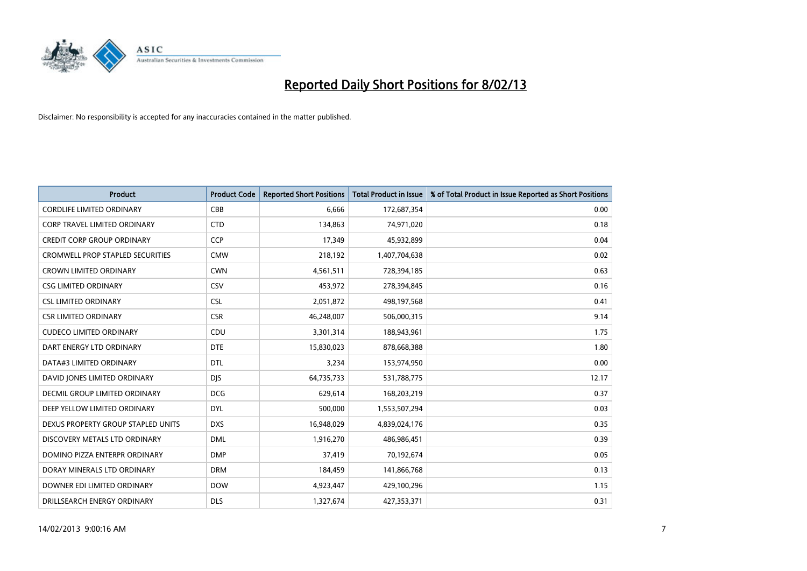

| <b>Product</b>                          | <b>Product Code</b> | <b>Reported Short Positions</b> | <b>Total Product in Issue</b> | % of Total Product in Issue Reported as Short Positions |
|-----------------------------------------|---------------------|---------------------------------|-------------------------------|---------------------------------------------------------|
| <b>CORDLIFE LIMITED ORDINARY</b>        | CBB                 | 6,666                           | 172,687,354                   | 0.00                                                    |
| CORP TRAVEL LIMITED ORDINARY            | <b>CTD</b>          | 134,863                         | 74,971,020                    | 0.18                                                    |
| <b>CREDIT CORP GROUP ORDINARY</b>       | <b>CCP</b>          | 17,349                          | 45,932,899                    | 0.04                                                    |
| <b>CROMWELL PROP STAPLED SECURITIES</b> | <b>CMW</b>          | 218,192                         | 1,407,704,638                 | 0.02                                                    |
| <b>CROWN LIMITED ORDINARY</b>           | <b>CWN</b>          | 4,561,511                       | 728,394,185                   | 0.63                                                    |
| <b>CSG LIMITED ORDINARY</b>             | CSV                 | 453,972                         | 278,394,845                   | 0.16                                                    |
| <b>CSL LIMITED ORDINARY</b>             | <b>CSL</b>          | 2,051,872                       | 498,197,568                   | 0.41                                                    |
| <b>CSR LIMITED ORDINARY</b>             | <b>CSR</b>          | 46,248,007                      | 506,000,315                   | 9.14                                                    |
| <b>CUDECO LIMITED ORDINARY</b>          | CDU                 | 3,301,314                       | 188,943,961                   | 1.75                                                    |
| DART ENERGY LTD ORDINARY                | <b>DTE</b>          | 15,830,023                      | 878,668,388                   | 1.80                                                    |
| DATA#3 LIMITED ORDINARY                 | <b>DTL</b>          | 3,234                           | 153,974,950                   | 0.00                                                    |
| DAVID JONES LIMITED ORDINARY            | <b>DJS</b>          | 64,735,733                      | 531,788,775                   | 12.17                                                   |
| <b>DECMIL GROUP LIMITED ORDINARY</b>    | <b>DCG</b>          | 629,614                         | 168,203,219                   | 0.37                                                    |
| DEEP YELLOW LIMITED ORDINARY            | <b>DYL</b>          | 500,000                         | 1,553,507,294                 | 0.03                                                    |
| DEXUS PROPERTY GROUP STAPLED UNITS      | <b>DXS</b>          | 16,948,029                      | 4,839,024,176                 | 0.35                                                    |
| DISCOVERY METALS LTD ORDINARY           | <b>DML</b>          | 1,916,270                       | 486,986,451                   | 0.39                                                    |
| DOMINO PIZZA ENTERPR ORDINARY           | <b>DMP</b>          | 37,419                          | 70,192,674                    | 0.05                                                    |
| DORAY MINERALS LTD ORDINARY             | <b>DRM</b>          | 184,459                         | 141,866,768                   | 0.13                                                    |
| DOWNER EDI LIMITED ORDINARY             | <b>DOW</b>          | 4,923,447                       | 429,100,296                   | 1.15                                                    |
| DRILLSEARCH ENERGY ORDINARY             | <b>DLS</b>          | 1,327,674                       | 427,353,371                   | 0.31                                                    |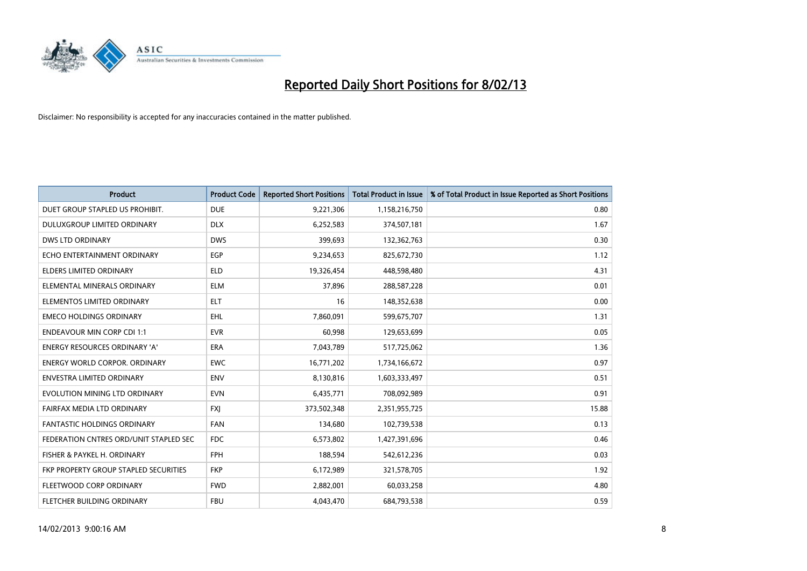

| <b>Product</b>                         | <b>Product Code</b> | <b>Reported Short Positions</b> | <b>Total Product in Issue</b> | % of Total Product in Issue Reported as Short Positions |
|----------------------------------------|---------------------|---------------------------------|-------------------------------|---------------------------------------------------------|
| DUET GROUP STAPLED US PROHIBIT.        | <b>DUE</b>          | 9,221,306                       | 1,158,216,750                 | 0.80                                                    |
| DULUXGROUP LIMITED ORDINARY            | <b>DLX</b>          | 6,252,583                       | 374,507,181                   | 1.67                                                    |
| <b>DWS LTD ORDINARY</b>                | <b>DWS</b>          | 399,693                         | 132,362,763                   | 0.30                                                    |
| ECHO ENTERTAINMENT ORDINARY            | <b>EGP</b>          | 9,234,653                       | 825,672,730                   | 1.12                                                    |
| <b>ELDERS LIMITED ORDINARY</b>         | <b>ELD</b>          | 19,326,454                      | 448,598,480                   | 4.31                                                    |
| ELEMENTAL MINERALS ORDINARY            | <b>ELM</b>          | 37,896                          | 288,587,228                   | 0.01                                                    |
| ELEMENTOS LIMITED ORDINARY             | <b>ELT</b>          | 16                              | 148,352,638                   | 0.00                                                    |
| <b>EMECO HOLDINGS ORDINARY</b>         | <b>EHL</b>          | 7,860,091                       | 599,675,707                   | 1.31                                                    |
| <b>ENDEAVOUR MIN CORP CDI 1:1</b>      | <b>EVR</b>          | 60,998                          | 129,653,699                   | 0.05                                                    |
| <b>ENERGY RESOURCES ORDINARY 'A'</b>   | <b>ERA</b>          | 7,043,789                       | 517,725,062                   | 1.36                                                    |
| <b>ENERGY WORLD CORPOR, ORDINARY</b>   | <b>EWC</b>          | 16,771,202                      | 1,734,166,672                 | 0.97                                                    |
| <b>ENVESTRA LIMITED ORDINARY</b>       | <b>ENV</b>          | 8,130,816                       | 1,603,333,497                 | 0.51                                                    |
| EVOLUTION MINING LTD ORDINARY          | <b>EVN</b>          | 6,435,771                       | 708,092,989                   | 0.91                                                    |
| FAIRFAX MEDIA LTD ORDINARY             | <b>FXI</b>          | 373,502,348                     | 2,351,955,725                 | 15.88                                                   |
| <b>FANTASTIC HOLDINGS ORDINARY</b>     | <b>FAN</b>          | 134,680                         | 102,739,538                   | 0.13                                                    |
| FEDERATION CNTRES ORD/UNIT STAPLED SEC | <b>FDC</b>          | 6,573,802                       | 1,427,391,696                 | 0.46                                                    |
| FISHER & PAYKEL H. ORDINARY            | <b>FPH</b>          | 188,594                         | 542,612,236                   | 0.03                                                    |
| FKP PROPERTY GROUP STAPLED SECURITIES  | <b>FKP</b>          | 6,172,989                       | 321,578,705                   | 1.92                                                    |
| FLEETWOOD CORP ORDINARY                | <b>FWD</b>          | 2,882,001                       | 60,033,258                    | 4.80                                                    |
| <b>FLETCHER BUILDING ORDINARY</b>      | <b>FBU</b>          | 4.043.470                       | 684,793,538                   | 0.59                                                    |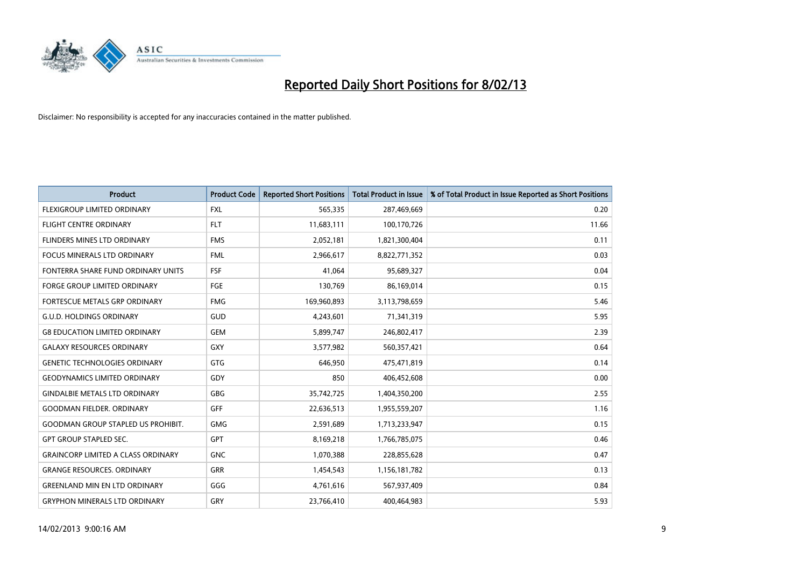

| <b>Product</b>                            | <b>Product Code</b> | <b>Reported Short Positions</b> | <b>Total Product in Issue</b> | % of Total Product in Issue Reported as Short Positions |
|-------------------------------------------|---------------------|---------------------------------|-------------------------------|---------------------------------------------------------|
| <b>FLEXIGROUP LIMITED ORDINARY</b>        | <b>FXL</b>          | 565,335                         | 287,469,669                   | 0.20                                                    |
| FLIGHT CENTRE ORDINARY                    | <b>FLT</b>          | 11,683,111                      | 100,170,726                   | 11.66                                                   |
| <b>FLINDERS MINES LTD ORDINARY</b>        | <b>FMS</b>          | 2,052,181                       | 1,821,300,404                 | 0.11                                                    |
| FOCUS MINERALS LTD ORDINARY               | <b>FML</b>          | 2,966,617                       | 8,822,771,352                 | 0.03                                                    |
| FONTERRA SHARE FUND ORDINARY UNITS        | FSF                 | 41,064                          | 95,689,327                    | 0.04                                                    |
| <b>FORGE GROUP LIMITED ORDINARY</b>       | FGE                 | 130,769                         | 86,169,014                    | 0.15                                                    |
| FORTESCUE METALS GRP ORDINARY             | <b>FMG</b>          | 169,960,893                     | 3,113,798,659                 | 5.46                                                    |
| <b>G.U.D. HOLDINGS ORDINARY</b>           | GUD                 | 4,243,601                       | 71,341,319                    | 5.95                                                    |
| <b>G8 EDUCATION LIMITED ORDINARY</b>      | <b>GEM</b>          | 5,899,747                       | 246,802,417                   | 2.39                                                    |
| <b>GALAXY RESOURCES ORDINARY</b>          | <b>GXY</b>          | 3,577,982                       | 560,357,421                   | 0.64                                                    |
| <b>GENETIC TECHNOLOGIES ORDINARY</b>      | <b>GTG</b>          | 646,950                         | 475,471,819                   | 0.14                                                    |
| <b>GEODYNAMICS LIMITED ORDINARY</b>       | GDY                 | 850                             | 406,452,608                   | 0.00                                                    |
| <b>GINDALBIE METALS LTD ORDINARY</b>      | <b>GBG</b>          | 35,742,725                      | 1,404,350,200                 | 2.55                                                    |
| <b>GOODMAN FIELDER, ORDINARY</b>          | <b>GFF</b>          | 22,636,513                      | 1,955,559,207                 | 1.16                                                    |
| <b>GOODMAN GROUP STAPLED US PROHIBIT.</b> | <b>GMG</b>          | 2,591,689                       | 1,713,233,947                 | 0.15                                                    |
| <b>GPT GROUP STAPLED SEC.</b>             | <b>GPT</b>          | 8,169,218                       | 1,766,785,075                 | 0.46                                                    |
| <b>GRAINCORP LIMITED A CLASS ORDINARY</b> | <b>GNC</b>          | 1,070,388                       | 228,855,628                   | 0.47                                                    |
| <b>GRANGE RESOURCES. ORDINARY</b>         | <b>GRR</b>          | 1,454,543                       | 1,156,181,782                 | 0.13                                                    |
| <b>GREENLAND MIN EN LTD ORDINARY</b>      | GGG                 | 4,761,616                       | 567,937,409                   | 0.84                                                    |
| <b>GRYPHON MINERALS LTD ORDINARY</b>      | GRY                 | 23,766,410                      | 400,464,983                   | 5.93                                                    |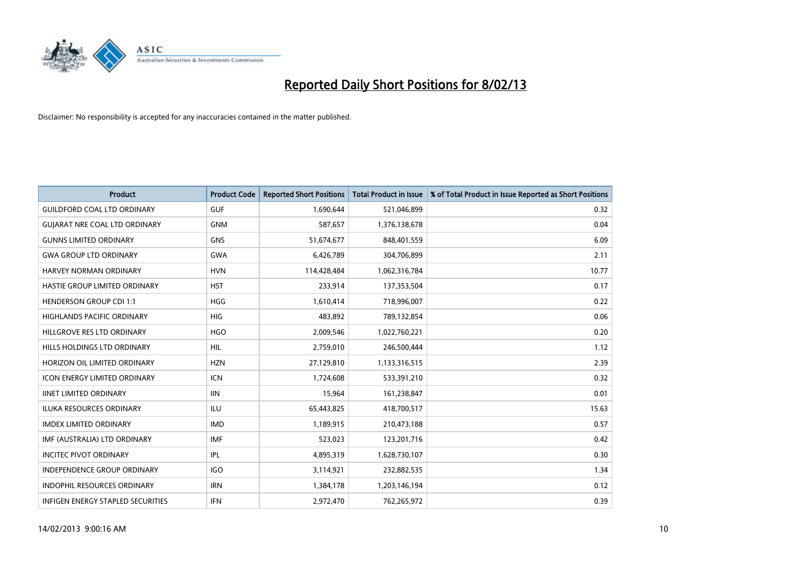

| <b>Product</b>                           | <b>Product Code</b> | <b>Reported Short Positions</b> | <b>Total Product in Issue</b> | % of Total Product in Issue Reported as Short Positions |
|------------------------------------------|---------------------|---------------------------------|-------------------------------|---------------------------------------------------------|
| <b>GUILDFORD COAL LTD ORDINARY</b>       | <b>GUF</b>          | 1,690,644                       | 521,046,899                   | 0.32                                                    |
| <b>GUIARAT NRE COAL LTD ORDINARY</b>     | <b>GNM</b>          | 587,657                         | 1,376,138,678                 | 0.04                                                    |
| <b>GUNNS LIMITED ORDINARY</b>            | <b>GNS</b>          | 51,674,677                      | 848,401,559                   | 6.09                                                    |
| <b>GWA GROUP LTD ORDINARY</b>            | <b>GWA</b>          | 6,426,789                       | 304,706,899                   | 2.11                                                    |
| <b>HARVEY NORMAN ORDINARY</b>            | <b>HVN</b>          | 114,428,484                     | 1,062,316,784                 | 10.77                                                   |
| HASTIE GROUP LIMITED ORDINARY            | <b>HST</b>          | 233,914                         | 137,353,504                   | 0.17                                                    |
| <b>HENDERSON GROUP CDI 1:1</b>           | <b>HGG</b>          | 1,610,414                       | 718,996,007                   | 0.22                                                    |
| <b>HIGHLANDS PACIFIC ORDINARY</b>        | <b>HIG</b>          | 483,892                         | 789,132,854                   | 0.06                                                    |
| HILLGROVE RES LTD ORDINARY               | <b>HGO</b>          | 2,009,546                       | 1,022,760,221                 | 0.20                                                    |
| HILLS HOLDINGS LTD ORDINARY              | <b>HIL</b>          | 2,759,010                       | 246,500,444                   | 1.12                                                    |
| HORIZON OIL LIMITED ORDINARY             | <b>HZN</b>          | 27,129,810                      | 1,133,316,515                 | 2.39                                                    |
| <b>ICON ENERGY LIMITED ORDINARY</b>      | <b>ICN</b>          | 1,724,608                       | 533,391,210                   | 0.32                                                    |
| <b>IINET LIMITED ORDINARY</b>            | <b>IIN</b>          | 15,964                          | 161,238,847                   | 0.01                                                    |
| <b>ILUKA RESOURCES ORDINARY</b>          | ILU                 | 65,443,825                      | 418,700,517                   | 15.63                                                   |
| <b>IMDEX LIMITED ORDINARY</b>            | <b>IMD</b>          | 1,189,915                       | 210,473,188                   | 0.57                                                    |
| IMF (AUSTRALIA) LTD ORDINARY             | <b>IMF</b>          | 523,023                         | 123,201,716                   | 0.42                                                    |
| <b>INCITEC PIVOT ORDINARY</b>            | <b>IPL</b>          | 4,895,319                       | 1,628,730,107                 | 0.30                                                    |
| INDEPENDENCE GROUP ORDINARY              | <b>IGO</b>          | 3,114,921                       | 232,882,535                   | 1.34                                                    |
| <b>INDOPHIL RESOURCES ORDINARY</b>       | <b>IRN</b>          | 1,384,178                       | 1,203,146,194                 | 0.12                                                    |
| <b>INFIGEN ENERGY STAPLED SECURITIES</b> | <b>IFN</b>          | 2,972,470                       | 762,265,972                   | 0.39                                                    |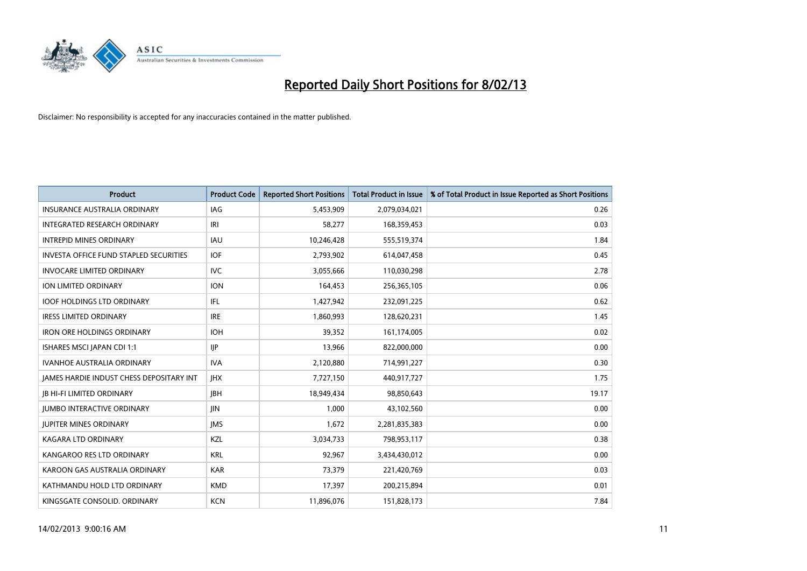

| <b>Product</b>                                  | <b>Product Code</b> | <b>Reported Short Positions</b> | <b>Total Product in Issue</b> | % of Total Product in Issue Reported as Short Positions |
|-------------------------------------------------|---------------------|---------------------------------|-------------------------------|---------------------------------------------------------|
| <b>INSURANCE AUSTRALIA ORDINARY</b>             | IAG                 | 5,453,909                       | 2,079,034,021                 | 0.26                                                    |
| INTEGRATED RESEARCH ORDINARY                    | IRI                 | 58,277                          | 168,359,453                   | 0.03                                                    |
| <b>INTREPID MINES ORDINARY</b>                  | <b>IAU</b>          | 10,246,428                      | 555,519,374                   | 1.84                                                    |
| INVESTA OFFICE FUND STAPLED SECURITIES          | <b>IOF</b>          | 2,793,902                       | 614,047,458                   | 0.45                                                    |
| <b>INVOCARE LIMITED ORDINARY</b>                | <b>IVC</b>          | 3,055,666                       | 110,030,298                   | 2.78                                                    |
| <b>ION LIMITED ORDINARY</b>                     | <b>ION</b>          | 164,453                         | 256,365,105                   | 0.06                                                    |
| <b>IOOF HOLDINGS LTD ORDINARY</b>               | <b>IFL</b>          | 1,427,942                       | 232,091,225                   | 0.62                                                    |
| <b>IRESS LIMITED ORDINARY</b>                   | <b>IRE</b>          | 1,860,993                       | 128,620,231                   | 1.45                                                    |
| <b>IRON ORE HOLDINGS ORDINARY</b>               | <b>IOH</b>          | 39,352                          | 161,174,005                   | 0.02                                                    |
| ISHARES MSCI JAPAN CDI 1:1                      | <b>IIP</b>          | 13,966                          | 822,000,000                   | 0.00                                                    |
| <b>IVANHOE AUSTRALIA ORDINARY</b>               | <b>IVA</b>          | 2,120,880                       | 714,991,227                   | 0.30                                                    |
| <b>JAMES HARDIE INDUST CHESS DEPOSITARY INT</b> | <b>IHX</b>          | 7,727,150                       | 440,917,727                   | 1.75                                                    |
| <b>IB HI-FI LIMITED ORDINARY</b>                | <b>IBH</b>          | 18,949,434                      | 98,850,643                    | 19.17                                                   |
| <b>JUMBO INTERACTIVE ORDINARY</b>               | <b>JIN</b>          | 1,000                           | 43,102,560                    | 0.00                                                    |
| <b>JUPITER MINES ORDINARY</b>                   | <b>IMS</b>          | 1,672                           | 2,281,835,383                 | 0.00                                                    |
| KAGARA LTD ORDINARY                             | KZL                 | 3,034,733                       | 798,953,117                   | 0.38                                                    |
| KANGAROO RES LTD ORDINARY                       | <b>KRL</b>          | 92,967                          | 3,434,430,012                 | 0.00                                                    |
| KAROON GAS AUSTRALIA ORDINARY                   | <b>KAR</b>          | 73,379                          | 221,420,769                   | 0.03                                                    |
| KATHMANDU HOLD LTD ORDINARY                     | <b>KMD</b>          | 17,397                          | 200,215,894                   | 0.01                                                    |
| KINGSGATE CONSOLID. ORDINARY                    | <b>KCN</b>          | 11,896,076                      | 151,828,173                   | 7.84                                                    |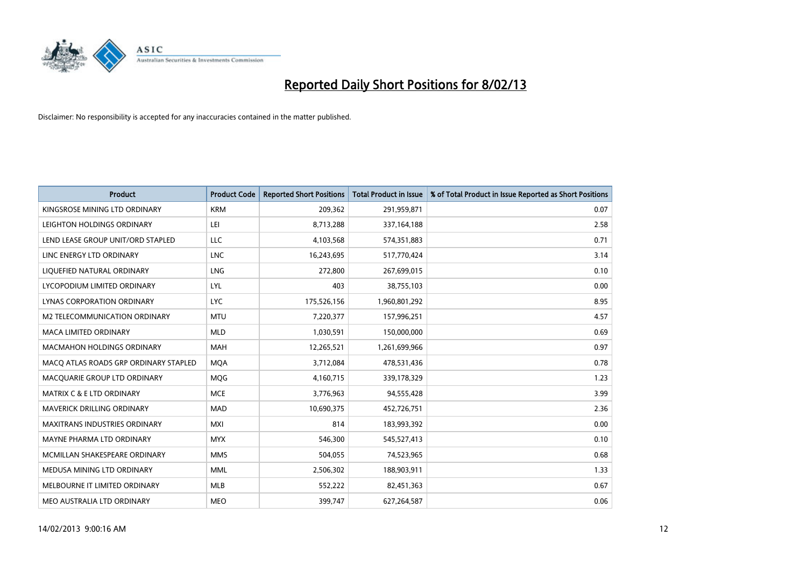

| <b>Product</b>                        | <b>Product Code</b> | <b>Reported Short Positions</b> | <b>Total Product in Issue</b> | % of Total Product in Issue Reported as Short Positions |
|---------------------------------------|---------------------|---------------------------------|-------------------------------|---------------------------------------------------------|
| KINGSROSE MINING LTD ORDINARY         | <b>KRM</b>          | 209,362                         | 291,959,871                   | 0.07                                                    |
| LEIGHTON HOLDINGS ORDINARY            | LEI                 | 8,713,288                       | 337, 164, 188                 | 2.58                                                    |
| LEND LEASE GROUP UNIT/ORD STAPLED     | LLC                 | 4,103,568                       | 574,351,883                   | 0.71                                                    |
| LINC ENERGY LTD ORDINARY              | <b>LNC</b>          | 16,243,695                      | 517,770,424                   | 3.14                                                    |
| LIQUEFIED NATURAL ORDINARY            | <b>LNG</b>          | 272,800                         | 267,699,015                   | 0.10                                                    |
| LYCOPODIUM LIMITED ORDINARY           | <b>LYL</b>          | 403                             | 38,755,103                    | 0.00                                                    |
| LYNAS CORPORATION ORDINARY            | <b>LYC</b>          | 175,526,156                     | 1,960,801,292                 | 8.95                                                    |
| M2 TELECOMMUNICATION ORDINARY         | <b>MTU</b>          | 7,220,377                       | 157,996,251                   | 4.57                                                    |
| <b>MACA LIMITED ORDINARY</b>          | <b>MLD</b>          | 1,030,591                       | 150,000,000                   | 0.69                                                    |
| <b>MACMAHON HOLDINGS ORDINARY</b>     | <b>MAH</b>          | 12,265,521                      | 1,261,699,966                 | 0.97                                                    |
| MACQ ATLAS ROADS GRP ORDINARY STAPLED | <b>MOA</b>          | 3,712,084                       | 478,531,436                   | 0.78                                                    |
| MACQUARIE GROUP LTD ORDINARY          | <b>MQG</b>          | 4,160,715                       | 339,178,329                   | 1.23                                                    |
| <b>MATRIX C &amp; E LTD ORDINARY</b>  | <b>MCE</b>          | 3,776,963                       | 94,555,428                    | 3.99                                                    |
| MAVERICK DRILLING ORDINARY            | <b>MAD</b>          | 10,690,375                      | 452,726,751                   | 2.36                                                    |
| <b>MAXITRANS INDUSTRIES ORDINARY</b>  | <b>MXI</b>          | 814                             | 183,993,392                   | 0.00                                                    |
| MAYNE PHARMA LTD ORDINARY             | <b>MYX</b>          | 546,300                         | 545,527,413                   | 0.10                                                    |
| MCMILLAN SHAKESPEARE ORDINARY         | <b>MMS</b>          | 504,055                         | 74,523,965                    | 0.68                                                    |
| MEDUSA MINING LTD ORDINARY            | <b>MML</b>          | 2,506,302                       | 188,903,911                   | 1.33                                                    |
| MELBOURNE IT LIMITED ORDINARY         | <b>MLB</b>          | 552,222                         | 82,451,363                    | 0.67                                                    |
| MEO AUSTRALIA LTD ORDINARY            | <b>MEO</b>          | 399,747                         | 627,264,587                   | 0.06                                                    |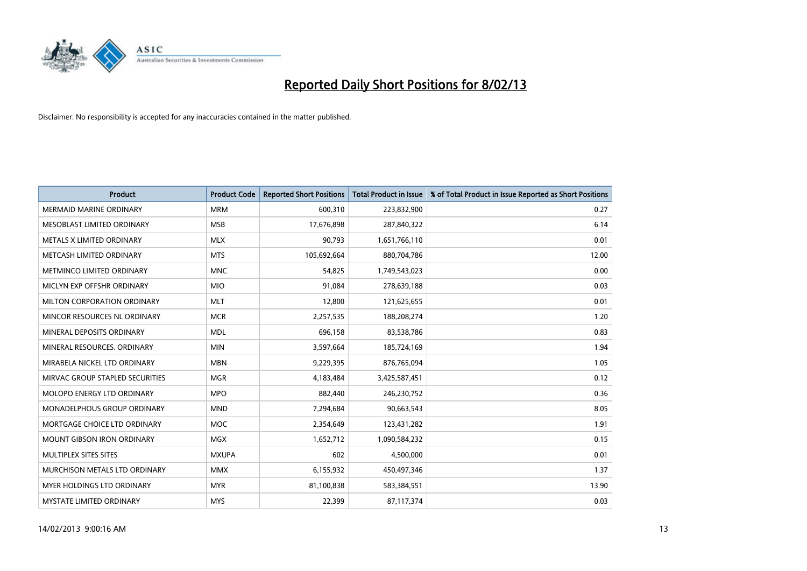

| <b>Product</b>                     | <b>Product Code</b> | <b>Reported Short Positions</b> | <b>Total Product in Issue</b> | % of Total Product in Issue Reported as Short Positions |
|------------------------------------|---------------------|---------------------------------|-------------------------------|---------------------------------------------------------|
| <b>MERMAID MARINE ORDINARY</b>     | <b>MRM</b>          | 600,310                         | 223,832,900                   | 0.27                                                    |
| MESOBLAST LIMITED ORDINARY         | <b>MSB</b>          | 17,676,898                      | 287,840,322                   | 6.14                                                    |
| <b>METALS X LIMITED ORDINARY</b>   | <b>MLX</b>          | 90,793                          | 1,651,766,110                 | 0.01                                                    |
| METCASH LIMITED ORDINARY           | <b>MTS</b>          | 105,692,664                     | 880,704,786                   | 12.00                                                   |
| METMINCO LIMITED ORDINARY          | <b>MNC</b>          | 54,825                          | 1,749,543,023                 | 0.00                                                    |
| MICLYN EXP OFFSHR ORDINARY         | <b>MIO</b>          | 91,084                          | 278,639,188                   | 0.03                                                    |
| MILTON CORPORATION ORDINARY        | <b>MLT</b>          | 12,800                          | 121,625,655                   | 0.01                                                    |
| MINCOR RESOURCES NL ORDINARY       | <b>MCR</b>          | 2,257,535                       | 188,208,274                   | 1.20                                                    |
| MINERAL DEPOSITS ORDINARY          | <b>MDL</b>          | 696,158                         | 83,538,786                    | 0.83                                                    |
| MINERAL RESOURCES, ORDINARY        | <b>MIN</b>          | 3,597,664                       | 185,724,169                   | 1.94                                                    |
| MIRABELA NICKEL LTD ORDINARY       | <b>MBN</b>          | 9,229,395                       | 876,765,094                   | 1.05                                                    |
| MIRVAC GROUP STAPLED SECURITIES    | <b>MGR</b>          | 4,183,484                       | 3,425,587,451                 | 0.12                                                    |
| MOLOPO ENERGY LTD ORDINARY         | <b>MPO</b>          | 882,440                         | 246,230,752                   | 0.36                                                    |
| <b>MONADELPHOUS GROUP ORDINARY</b> | <b>MND</b>          | 7,294,684                       | 90,663,543                    | 8.05                                                    |
| MORTGAGE CHOICE LTD ORDINARY       | <b>MOC</b>          | 2,354,649                       | 123,431,282                   | 1.91                                                    |
| <b>MOUNT GIBSON IRON ORDINARY</b>  | <b>MGX</b>          | 1,652,712                       | 1,090,584,232                 | 0.15                                                    |
| MULTIPLEX SITES SITES              | <b>MXUPA</b>        | 602                             | 4,500,000                     | 0.01                                                    |
| MURCHISON METALS LTD ORDINARY      | <b>MMX</b>          | 6,155,932                       | 450,497,346                   | 1.37                                                    |
| <b>MYER HOLDINGS LTD ORDINARY</b>  | <b>MYR</b>          | 81,100,838                      | 583,384,551                   | 13.90                                                   |
| MYSTATE LIMITED ORDINARY           | <b>MYS</b>          | 22,399                          | 87,117,374                    | 0.03                                                    |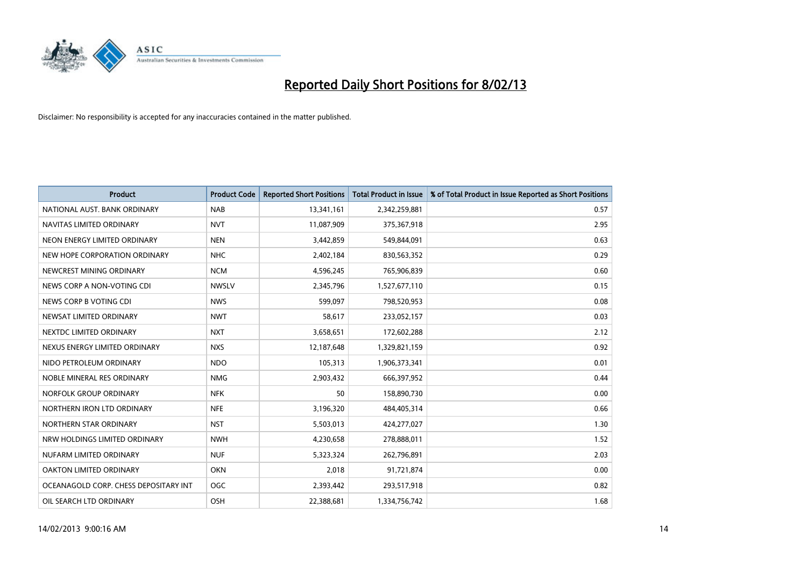

| <b>Product</b>                        | <b>Product Code</b> | <b>Reported Short Positions</b> | <b>Total Product in Issue</b> | % of Total Product in Issue Reported as Short Positions |
|---------------------------------------|---------------------|---------------------------------|-------------------------------|---------------------------------------------------------|
| NATIONAL AUST, BANK ORDINARY          | <b>NAB</b>          | 13,341,161                      | 2,342,259,881                 | 0.57                                                    |
| NAVITAS LIMITED ORDINARY              | <b>NVT</b>          | 11,087,909                      | 375,367,918                   | 2.95                                                    |
| NEON ENERGY LIMITED ORDINARY          | <b>NEN</b>          | 3,442,859                       | 549,844,091                   | 0.63                                                    |
| NEW HOPE CORPORATION ORDINARY         | <b>NHC</b>          | 2,402,184                       | 830,563,352                   | 0.29                                                    |
| NEWCREST MINING ORDINARY              | <b>NCM</b>          | 4,596,245                       | 765,906,839                   | 0.60                                                    |
| NEWS CORP A NON-VOTING CDI            | <b>NWSLV</b>        | 2,345,796                       | 1,527,677,110                 | 0.15                                                    |
| NEWS CORP B VOTING CDI                | <b>NWS</b>          | 599.097                         | 798,520,953                   | 0.08                                                    |
| NEWSAT LIMITED ORDINARY               | <b>NWT</b>          | 58,617                          | 233,052,157                   | 0.03                                                    |
| NEXTDC LIMITED ORDINARY               | <b>NXT</b>          | 3,658,651                       | 172,602,288                   | 2.12                                                    |
| NEXUS ENERGY LIMITED ORDINARY         | <b>NXS</b>          | 12,187,648                      | 1,329,821,159                 | 0.92                                                    |
| NIDO PETROLEUM ORDINARY               | <b>NDO</b>          | 105,313                         | 1,906,373,341                 | 0.01                                                    |
| NOBLE MINERAL RES ORDINARY            | <b>NMG</b>          | 2,903,432                       | 666,397,952                   | 0.44                                                    |
| NORFOLK GROUP ORDINARY                | <b>NFK</b>          | 50                              | 158,890,730                   | 0.00                                                    |
| NORTHERN IRON LTD ORDINARY            | <b>NFE</b>          | 3,196,320                       | 484,405,314                   | 0.66                                                    |
| NORTHERN STAR ORDINARY                | <b>NST</b>          | 5,503,013                       | 424,277,027                   | 1.30                                                    |
| NRW HOLDINGS LIMITED ORDINARY         | <b>NWH</b>          | 4,230,658                       | 278,888,011                   | 1.52                                                    |
| NUFARM LIMITED ORDINARY               | <b>NUF</b>          | 5,323,324                       | 262,796,891                   | 2.03                                                    |
| OAKTON LIMITED ORDINARY               | <b>OKN</b>          | 2,018                           | 91,721,874                    | 0.00                                                    |
| OCEANAGOLD CORP. CHESS DEPOSITARY INT | <b>OGC</b>          | 2,393,442                       | 293,517,918                   | 0.82                                                    |
| OIL SEARCH LTD ORDINARY               | OSH                 | 22,388,681                      | 1,334,756,742                 | 1.68                                                    |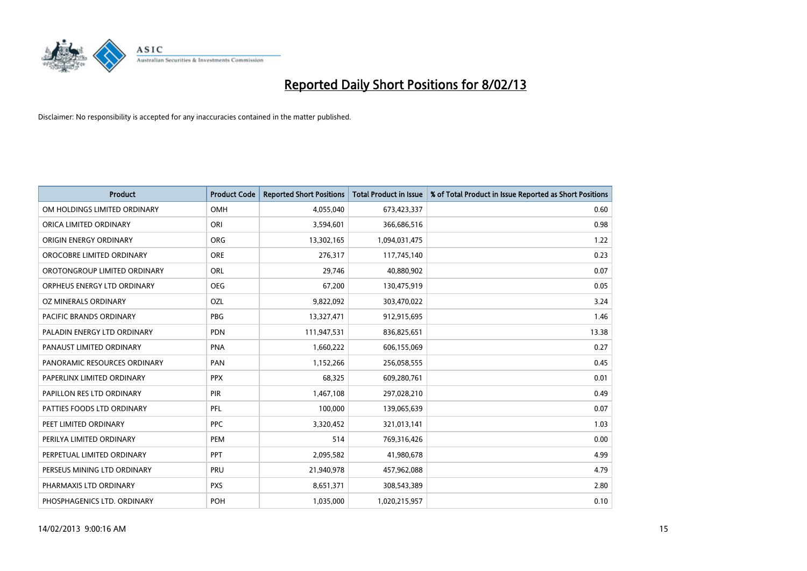

| <b>Product</b>               | <b>Product Code</b> | <b>Reported Short Positions</b> | <b>Total Product in Issue</b> | % of Total Product in Issue Reported as Short Positions |
|------------------------------|---------------------|---------------------------------|-------------------------------|---------------------------------------------------------|
| OM HOLDINGS LIMITED ORDINARY | <b>OMH</b>          | 4,055,040                       | 673,423,337                   | 0.60                                                    |
| ORICA LIMITED ORDINARY       | ORI                 | 3,594,601                       | 366,686,516                   | 0.98                                                    |
| ORIGIN ENERGY ORDINARY       | ORG                 | 13,302,165                      | 1,094,031,475                 | 1.22                                                    |
| OROCOBRE LIMITED ORDINARY    | <b>ORE</b>          | 276,317                         | 117,745,140                   | 0.23                                                    |
| OROTONGROUP LIMITED ORDINARY | ORL                 | 29,746                          | 40,880,902                    | 0.07                                                    |
| ORPHEUS ENERGY LTD ORDINARY  | <b>OEG</b>          | 67,200                          | 130,475,919                   | 0.05                                                    |
| OZ MINERALS ORDINARY         | OZL                 | 9,822,092                       | 303,470,022                   | 3.24                                                    |
| PACIFIC BRANDS ORDINARY      | PBG                 | 13,327,471                      | 912,915,695                   | 1.46                                                    |
| PALADIN ENERGY LTD ORDINARY  | <b>PDN</b>          | 111,947,531                     | 836,825,651                   | 13.38                                                   |
| PANAUST LIMITED ORDINARY     | <b>PNA</b>          | 1,660,222                       | 606,155,069                   | 0.27                                                    |
| PANORAMIC RESOURCES ORDINARY | PAN                 | 1,152,266                       | 256,058,555                   | 0.45                                                    |
| PAPERLINX LIMITED ORDINARY   | <b>PPX</b>          | 68,325                          | 609,280,761                   | 0.01                                                    |
| PAPILLON RES LTD ORDINARY    | PIR                 | 1,467,108                       | 297,028,210                   | 0.49                                                    |
| PATTIES FOODS LTD ORDINARY   | PFL                 | 100.000                         | 139,065,639                   | 0.07                                                    |
| PEET LIMITED ORDINARY        | <b>PPC</b>          | 3,320,452                       | 321,013,141                   | 1.03                                                    |
| PERILYA LIMITED ORDINARY     | PEM                 | 514                             | 769,316,426                   | 0.00                                                    |
| PERPETUAL LIMITED ORDINARY   | PPT                 | 2,095,582                       | 41,980,678                    | 4.99                                                    |
| PERSEUS MINING LTD ORDINARY  | PRU                 | 21,940,978                      | 457,962,088                   | 4.79                                                    |
| PHARMAXIS LTD ORDINARY       | <b>PXS</b>          | 8,651,371                       | 308,543,389                   | 2.80                                                    |
| PHOSPHAGENICS LTD. ORDINARY  | POH                 | 1,035,000                       | 1,020,215,957                 | 0.10                                                    |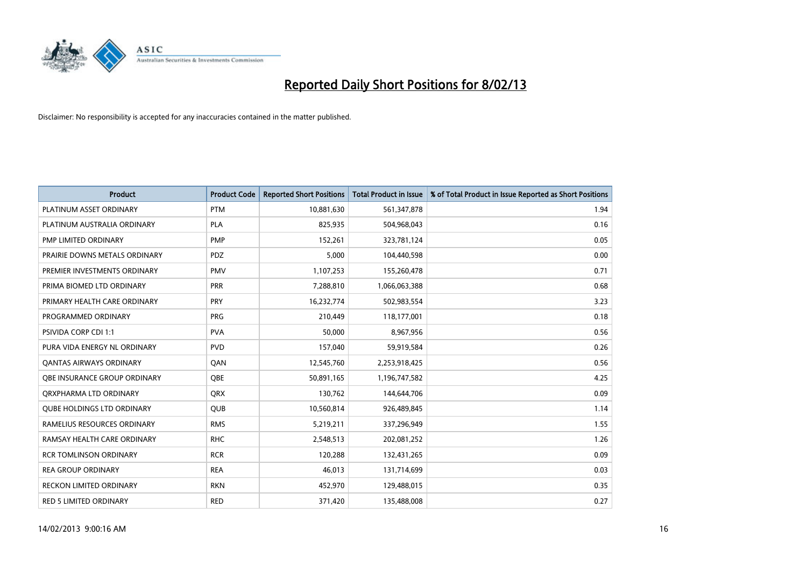

| <b>Product</b>                    | <b>Product Code</b> | <b>Reported Short Positions</b> | <b>Total Product in Issue</b> | % of Total Product in Issue Reported as Short Positions |
|-----------------------------------|---------------------|---------------------------------|-------------------------------|---------------------------------------------------------|
| PLATINUM ASSET ORDINARY           | <b>PTM</b>          | 10,881,630                      | 561,347,878                   | 1.94                                                    |
| PLATINUM AUSTRALIA ORDINARY       | <b>PLA</b>          | 825,935                         | 504,968,043                   | 0.16                                                    |
| PMP LIMITED ORDINARY              | <b>PMP</b>          | 152,261                         | 323,781,124                   | 0.05                                                    |
| PRAIRIE DOWNS METALS ORDINARY     | <b>PDZ</b>          | 5,000                           | 104,440,598                   | 0.00                                                    |
| PREMIER INVESTMENTS ORDINARY      | <b>PMV</b>          | 1,107,253                       | 155,260,478                   | 0.71                                                    |
| PRIMA BIOMED LTD ORDINARY         | <b>PRR</b>          | 7,288,810                       | 1,066,063,388                 | 0.68                                                    |
| PRIMARY HEALTH CARE ORDINARY      | <b>PRY</b>          | 16,232,774                      | 502,983,554                   | 3.23                                                    |
| PROGRAMMED ORDINARY               | PRG                 | 210,449                         | 118,177,001                   | 0.18                                                    |
| PSIVIDA CORP CDI 1:1              | <b>PVA</b>          | 50,000                          | 8,967,956                     | 0.56                                                    |
| PURA VIDA ENERGY NL ORDINARY      | <b>PVD</b>          | 157,040                         | 59,919,584                    | 0.26                                                    |
| <b>QANTAS AIRWAYS ORDINARY</b>    | QAN                 | 12,545,760                      | 2,253,918,425                 | 0.56                                                    |
| OBE INSURANCE GROUP ORDINARY      | <b>OBE</b>          | 50,891,165                      | 1,196,747,582                 | 4.25                                                    |
| ORXPHARMA LTD ORDINARY            | <b>QRX</b>          | 130,762                         | 144,644,706                   | 0.09                                                    |
| <b>QUBE HOLDINGS LTD ORDINARY</b> | <b>OUB</b>          | 10,560,814                      | 926,489,845                   | 1.14                                                    |
| RAMELIUS RESOURCES ORDINARY       | <b>RMS</b>          | 5,219,211                       | 337,296,949                   | 1.55                                                    |
| RAMSAY HEALTH CARE ORDINARY       | <b>RHC</b>          | 2,548,513                       | 202,081,252                   | 1.26                                                    |
| <b>RCR TOMLINSON ORDINARY</b>     | <b>RCR</b>          | 120,288                         | 132,431,265                   | 0.09                                                    |
| <b>REA GROUP ORDINARY</b>         | <b>REA</b>          | 46,013                          | 131,714,699                   | 0.03                                                    |
| <b>RECKON LIMITED ORDINARY</b>    | <b>RKN</b>          | 452,970                         | 129,488,015                   | 0.35                                                    |
| <b>RED 5 LIMITED ORDINARY</b>     | <b>RED</b>          | 371,420                         | 135,488,008                   | 0.27                                                    |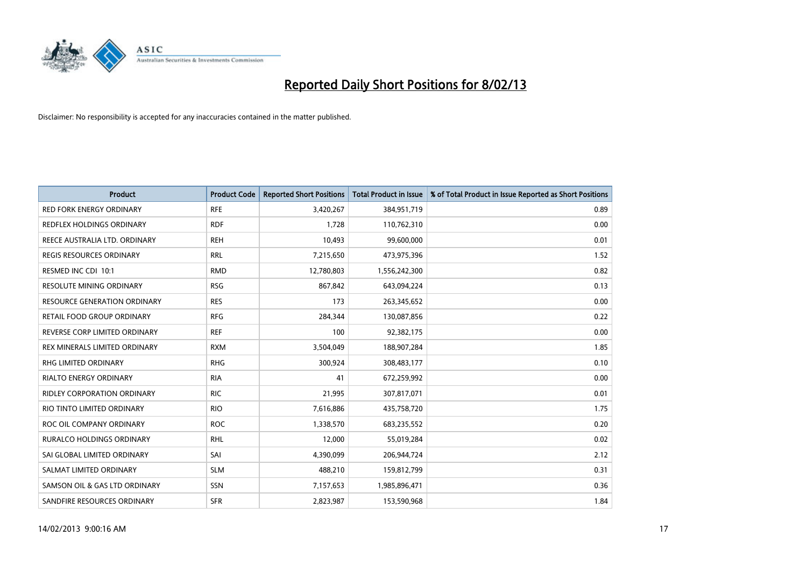

| <b>Product</b>                      | <b>Product Code</b> | <b>Reported Short Positions</b> | <b>Total Product in Issue</b> | % of Total Product in Issue Reported as Short Positions |
|-------------------------------------|---------------------|---------------------------------|-------------------------------|---------------------------------------------------------|
| <b>RED FORK ENERGY ORDINARY</b>     | <b>RFE</b>          | 3,420,267                       | 384,951,719                   | 0.89                                                    |
| REDFLEX HOLDINGS ORDINARY           | <b>RDF</b>          | 1,728                           | 110,762,310                   | 0.00                                                    |
| REECE AUSTRALIA LTD. ORDINARY       | <b>REH</b>          | 10,493                          | 99,600,000                    | 0.01                                                    |
| REGIS RESOURCES ORDINARY            | <b>RRL</b>          | 7,215,650                       | 473,975,396                   | 1.52                                                    |
| RESMED INC CDI 10:1                 | <b>RMD</b>          | 12,780,803                      | 1,556,242,300                 | 0.82                                                    |
| <b>RESOLUTE MINING ORDINARY</b>     | <b>RSG</b>          | 867,842                         | 643,094,224                   | 0.13                                                    |
| <b>RESOURCE GENERATION ORDINARY</b> | <b>RES</b>          | 173                             | 263,345,652                   | 0.00                                                    |
| RETAIL FOOD GROUP ORDINARY          | <b>RFG</b>          | 284,344                         | 130,087,856                   | 0.22                                                    |
| REVERSE CORP LIMITED ORDINARY       | <b>REF</b>          | 100                             | 92,382,175                    | 0.00                                                    |
| REX MINERALS LIMITED ORDINARY       | <b>RXM</b>          | 3,504,049                       | 188,907,284                   | 1.85                                                    |
| RHG LIMITED ORDINARY                | <b>RHG</b>          | 300,924                         | 308,483,177                   | 0.10                                                    |
| <b>RIALTO ENERGY ORDINARY</b>       | <b>RIA</b>          | 41                              | 672,259,992                   | 0.00                                                    |
| RIDLEY CORPORATION ORDINARY         | <b>RIC</b>          | 21,995                          | 307,817,071                   | 0.01                                                    |
| RIO TINTO LIMITED ORDINARY          | <b>RIO</b>          | 7,616,886                       | 435,758,720                   | 1.75                                                    |
| ROC OIL COMPANY ORDINARY            | <b>ROC</b>          | 1,338,570                       | 683,235,552                   | 0.20                                                    |
| RURALCO HOLDINGS ORDINARY           | <b>RHL</b>          | 12,000                          | 55,019,284                    | 0.02                                                    |
| SAI GLOBAL LIMITED ORDINARY         | SAI                 | 4,390,099                       | 206,944,724                   | 2.12                                                    |
| SALMAT LIMITED ORDINARY             | <b>SLM</b>          | 488,210                         | 159,812,799                   | 0.31                                                    |
| SAMSON OIL & GAS LTD ORDINARY       | SSN                 | 7,157,653                       | 1,985,896,471                 | 0.36                                                    |
| SANDFIRE RESOURCES ORDINARY         | <b>SFR</b>          | 2,823,987                       | 153,590,968                   | 1.84                                                    |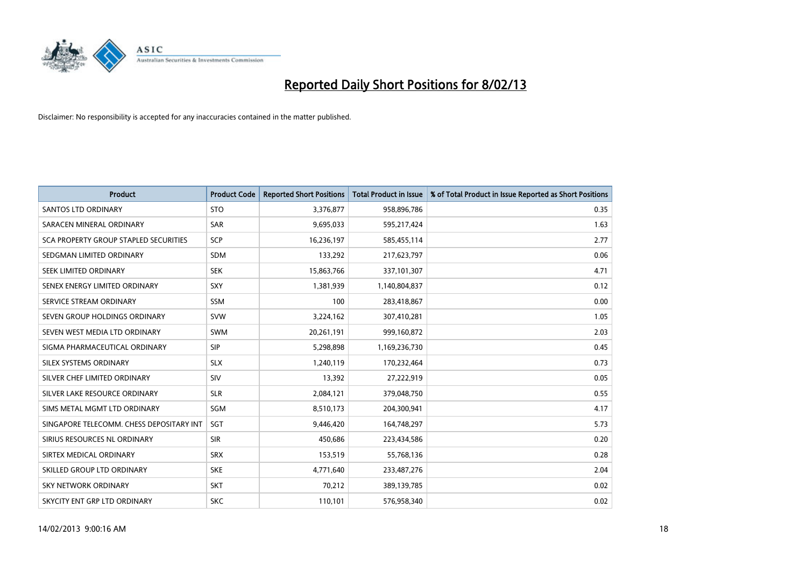

| <b>Product</b>                           | <b>Product Code</b> | <b>Reported Short Positions</b> | <b>Total Product in Issue</b> | % of Total Product in Issue Reported as Short Positions |
|------------------------------------------|---------------------|---------------------------------|-------------------------------|---------------------------------------------------------|
| <b>SANTOS LTD ORDINARY</b>               | <b>STO</b>          | 3,376,877                       | 958,896,786                   | 0.35                                                    |
| SARACEN MINERAL ORDINARY                 | SAR                 | 9,695,033                       | 595,217,424                   | 1.63                                                    |
| SCA PROPERTY GROUP STAPLED SECURITIES    | <b>SCP</b>          | 16,236,197                      | 585,455,114                   | 2.77                                                    |
| SEDGMAN LIMITED ORDINARY                 | <b>SDM</b>          | 133,292                         | 217,623,797                   | 0.06                                                    |
| SEEK LIMITED ORDINARY                    | <b>SEK</b>          | 15,863,766                      | 337,101,307                   | 4.71                                                    |
| SENEX ENERGY LIMITED ORDINARY            | SXY                 | 1,381,939                       | 1,140,804,837                 | 0.12                                                    |
| SERVICE STREAM ORDINARY                  | <b>SSM</b>          | 100                             | 283,418,867                   | 0.00                                                    |
| SEVEN GROUP HOLDINGS ORDINARY            | <b>SVW</b>          | 3,224,162                       | 307,410,281                   | 1.05                                                    |
| SEVEN WEST MEDIA LTD ORDINARY            | <b>SWM</b>          | 20,261,191                      | 999,160,872                   | 2.03                                                    |
| SIGMA PHARMACEUTICAL ORDINARY            | <b>SIP</b>          | 5,298,898                       | 1,169,236,730                 | 0.45                                                    |
| SILEX SYSTEMS ORDINARY                   | <b>SLX</b>          | 1,240,119                       | 170,232,464                   | 0.73                                                    |
| SILVER CHEF LIMITED ORDINARY             | <b>SIV</b>          | 13,392                          | 27,222,919                    | 0.05                                                    |
| SILVER LAKE RESOURCE ORDINARY            | <b>SLR</b>          | 2,084,121                       | 379,048,750                   | 0.55                                                    |
| SIMS METAL MGMT LTD ORDINARY             | <b>SGM</b>          | 8,510,173                       | 204,300,941                   | 4.17                                                    |
| SINGAPORE TELECOMM. CHESS DEPOSITARY INT | SGT                 | 9,446,420                       | 164,748,297                   | 5.73                                                    |
| SIRIUS RESOURCES NL ORDINARY             | <b>SIR</b>          | 450,686                         | 223,434,586                   | 0.20                                                    |
| SIRTEX MEDICAL ORDINARY                  | <b>SRX</b>          | 153,519                         | 55,768,136                    | 0.28                                                    |
| SKILLED GROUP LTD ORDINARY               | <b>SKE</b>          | 4,771,640                       | 233,487,276                   | 2.04                                                    |
| <b>SKY NETWORK ORDINARY</b>              | <b>SKT</b>          | 70,212                          | 389,139,785                   | 0.02                                                    |
| SKYCITY ENT GRP LTD ORDINARY             | <b>SKC</b>          | 110,101                         | 576,958,340                   | 0.02                                                    |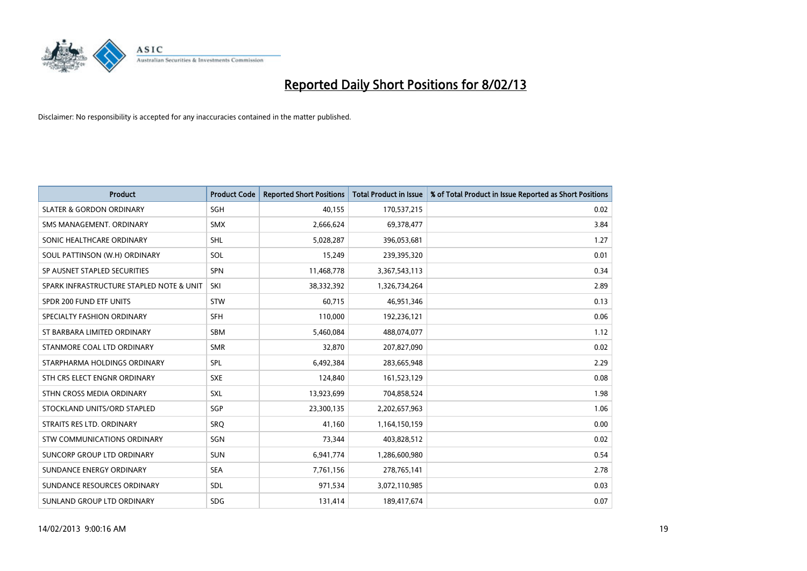

| <b>Product</b>                           | <b>Product Code</b> | <b>Reported Short Positions</b> | <b>Total Product in Issue</b> | % of Total Product in Issue Reported as Short Positions |
|------------------------------------------|---------------------|---------------------------------|-------------------------------|---------------------------------------------------------|
| <b>SLATER &amp; GORDON ORDINARY</b>      | <b>SGH</b>          | 40,155                          | 170,537,215                   | 0.02                                                    |
| SMS MANAGEMENT. ORDINARY                 | <b>SMX</b>          | 2,666,624                       | 69,378,477                    | 3.84                                                    |
| SONIC HEALTHCARE ORDINARY                | <b>SHL</b>          | 5,028,287                       | 396,053,681                   | 1.27                                                    |
| SOUL PATTINSON (W.H) ORDINARY            | SOL                 | 15,249                          | 239,395,320                   | 0.01                                                    |
| SP AUSNET STAPLED SECURITIES             | <b>SPN</b>          | 11,468,778                      | 3,367,543,113                 | 0.34                                                    |
| SPARK INFRASTRUCTURE STAPLED NOTE & UNIT | SKI                 | 38,332,392                      | 1,326,734,264                 | 2.89                                                    |
| SPDR 200 FUND ETF UNITS                  | <b>STW</b>          | 60,715                          | 46,951,346                    | 0.13                                                    |
| SPECIALTY FASHION ORDINARY               | <b>SFH</b>          | 110,000                         | 192,236,121                   | 0.06                                                    |
| ST BARBARA LIMITED ORDINARY              | <b>SBM</b>          | 5,460,084                       | 488,074,077                   | 1.12                                                    |
| STANMORE COAL LTD ORDINARY               | <b>SMR</b>          | 32,870                          | 207,827,090                   | 0.02                                                    |
| STARPHARMA HOLDINGS ORDINARY             | <b>SPL</b>          | 6,492,384                       | 283,665,948                   | 2.29                                                    |
| STH CRS ELECT ENGNR ORDINARY             | <b>SXE</b>          | 124,840                         | 161,523,129                   | 0.08                                                    |
| STHN CROSS MEDIA ORDINARY                | SXL                 | 13,923,699                      | 704,858,524                   | 1.98                                                    |
| STOCKLAND UNITS/ORD STAPLED              | <b>SGP</b>          | 23,300,135                      | 2,202,657,963                 | 1.06                                                    |
| STRAITS RES LTD. ORDINARY                | SRO                 | 41.160                          | 1,164,150,159                 | 0.00                                                    |
| STW COMMUNICATIONS ORDINARY              | SGN                 | 73,344                          | 403,828,512                   | 0.02                                                    |
| SUNCORP GROUP LTD ORDINARY               | <b>SUN</b>          | 6,941,774                       | 1,286,600,980                 | 0.54                                                    |
| SUNDANCE ENERGY ORDINARY                 | <b>SEA</b>          | 7,761,156                       | 278,765,141                   | 2.78                                                    |
| SUNDANCE RESOURCES ORDINARY              | <b>SDL</b>          | 971,534                         | 3,072,110,985                 | 0.03                                                    |
| SUNLAND GROUP LTD ORDINARY               | <b>SDG</b>          | 131,414                         | 189,417,674                   | 0.07                                                    |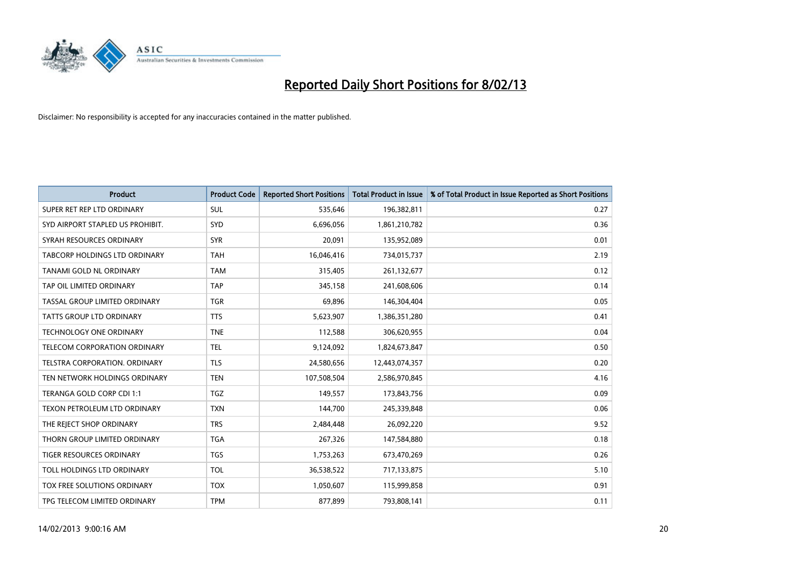

| <b>Product</b>                   | <b>Product Code</b> | <b>Reported Short Positions</b> | <b>Total Product in Issue</b> | % of Total Product in Issue Reported as Short Positions |
|----------------------------------|---------------------|---------------------------------|-------------------------------|---------------------------------------------------------|
| SUPER RET REP LTD ORDINARY       | <b>SUL</b>          | 535,646                         | 196,382,811                   | 0.27                                                    |
| SYD AIRPORT STAPLED US PROHIBIT. | <b>SYD</b>          | 6,696,056                       | 1,861,210,782                 | 0.36                                                    |
| SYRAH RESOURCES ORDINARY         | <b>SYR</b>          | 20,091                          | 135,952,089                   | 0.01                                                    |
| TABCORP HOLDINGS LTD ORDINARY    | <b>TAH</b>          | 16,046,416                      | 734,015,737                   | 2.19                                                    |
| TANAMI GOLD NL ORDINARY          | <b>TAM</b>          | 315,405                         | 261,132,677                   | 0.12                                                    |
| TAP OIL LIMITED ORDINARY         | <b>TAP</b>          | 345,158                         | 241,608,606                   | 0.14                                                    |
| TASSAL GROUP LIMITED ORDINARY    | <b>TGR</b>          | 69,896                          | 146,304,404                   | 0.05                                                    |
| TATTS GROUP LTD ORDINARY         | <b>TTS</b>          | 5,623,907                       | 1,386,351,280                 | 0.41                                                    |
| <b>TECHNOLOGY ONE ORDINARY</b>   | <b>TNE</b>          | 112,588                         | 306,620,955                   | 0.04                                                    |
| TELECOM CORPORATION ORDINARY     | <b>TEL</b>          | 9,124,092                       | 1,824,673,847                 | 0.50                                                    |
| TELSTRA CORPORATION. ORDINARY    | <b>TLS</b>          | 24,580,656                      | 12,443,074,357                | 0.20                                                    |
| TEN NETWORK HOLDINGS ORDINARY    | <b>TEN</b>          | 107,508,504                     | 2,586,970,845                 | 4.16                                                    |
| TERANGA GOLD CORP CDI 1:1        | <b>TGZ</b>          | 149,557                         | 173,843,756                   | 0.09                                                    |
| TEXON PETROLEUM LTD ORDINARY     | <b>TXN</b>          | 144,700                         | 245,339,848                   | 0.06                                                    |
| THE REJECT SHOP ORDINARY         | <b>TRS</b>          | 2,484,448                       | 26,092,220                    | 9.52                                                    |
| THORN GROUP LIMITED ORDINARY     | <b>TGA</b>          | 267,326                         | 147,584,880                   | 0.18                                                    |
| TIGER RESOURCES ORDINARY         | <b>TGS</b>          | 1,753,263                       | 673,470,269                   | 0.26                                                    |
| TOLL HOLDINGS LTD ORDINARY       | <b>TOL</b>          | 36,538,522                      | 717,133,875                   | 5.10                                                    |
| TOX FREE SOLUTIONS ORDINARY      | <b>TOX</b>          | 1,050,607                       | 115,999,858                   | 0.91                                                    |
| TPG TELECOM LIMITED ORDINARY     | <b>TPM</b>          | 877,899                         | 793,808,141                   | 0.11                                                    |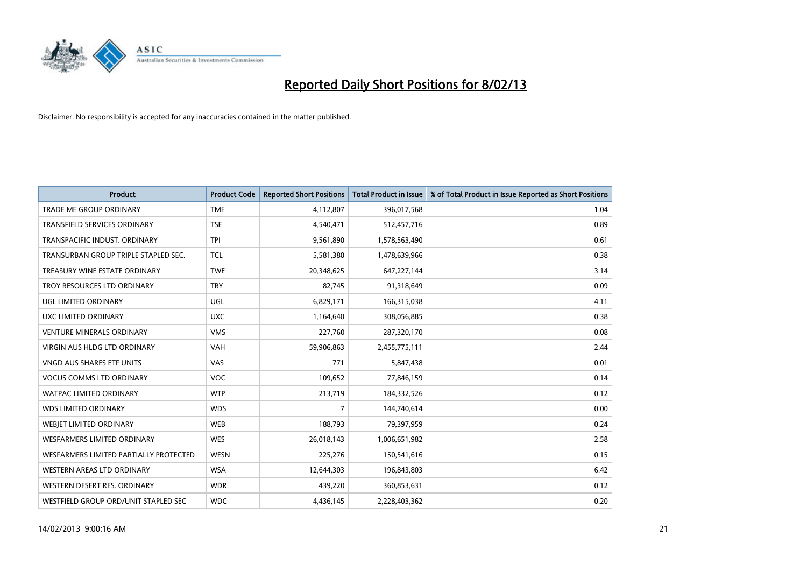

| <b>Product</b>                         | <b>Product Code</b> | <b>Reported Short Positions</b> | <b>Total Product in Issue</b> | % of Total Product in Issue Reported as Short Positions |
|----------------------------------------|---------------------|---------------------------------|-------------------------------|---------------------------------------------------------|
| <b>TRADE ME GROUP ORDINARY</b>         | <b>TME</b>          | 4,112,807                       | 396,017,568                   | 1.04                                                    |
| TRANSFIELD SERVICES ORDINARY           | <b>TSE</b>          | 4,540,471                       | 512,457,716                   | 0.89                                                    |
| TRANSPACIFIC INDUST, ORDINARY          | <b>TPI</b>          | 9,561,890                       | 1,578,563,490                 | 0.61                                                    |
| TRANSURBAN GROUP TRIPLE STAPLED SEC.   | <b>TCL</b>          | 5,581,380                       | 1,478,639,966                 | 0.38                                                    |
| TREASURY WINE ESTATE ORDINARY          | <b>TWE</b>          | 20,348,625                      | 647,227,144                   | 3.14                                                    |
| TROY RESOURCES LTD ORDINARY            | <b>TRY</b>          | 82,745                          | 91,318,649                    | 0.09                                                    |
| UGL LIMITED ORDINARY                   | UGL                 | 6,829,171                       | 166,315,038                   | 4.11                                                    |
| UXC LIMITED ORDINARY                   | <b>UXC</b>          | 1,164,640                       | 308,056,885                   | 0.38                                                    |
| <b>VENTURE MINERALS ORDINARY</b>       | <b>VMS</b>          | 227,760                         | 287,320,170                   | 0.08                                                    |
| <b>VIRGIN AUS HLDG LTD ORDINARY</b>    | <b>VAH</b>          | 59,906,863                      | 2,455,775,111                 | 2.44                                                    |
| <b>VNGD AUS SHARES ETF UNITS</b>       | VAS                 | 771                             | 5,847,438                     | 0.01                                                    |
| <b>VOCUS COMMS LTD ORDINARY</b>        | <b>VOC</b>          | 109,652                         | 77,846,159                    | 0.14                                                    |
| <b>WATPAC LIMITED ORDINARY</b>         | <b>WTP</b>          | 213,719                         | 184,332,526                   | 0.12                                                    |
| <b>WDS LIMITED ORDINARY</b>            | <b>WDS</b>          | 7                               | 144,740,614                   | 0.00                                                    |
| WEBIET LIMITED ORDINARY                | <b>WEB</b>          | 188,793                         | 79,397,959                    | 0.24                                                    |
| <b>WESFARMERS LIMITED ORDINARY</b>     | <b>WES</b>          | 26,018,143                      | 1,006,651,982                 | 2.58                                                    |
| WESFARMERS LIMITED PARTIALLY PROTECTED | <b>WESN</b>         | 225,276                         | 150,541,616                   | 0.15                                                    |
| <b>WESTERN AREAS LTD ORDINARY</b>      | <b>WSA</b>          | 12,644,303                      | 196,843,803                   | 6.42                                                    |
| WESTERN DESERT RES. ORDINARY           | <b>WDR</b>          | 439,220                         | 360,853,631                   | 0.12                                                    |
| WESTFIELD GROUP ORD/UNIT STAPLED SEC   | <b>WDC</b>          | 4,436,145                       | 2,228,403,362                 | 0.20                                                    |